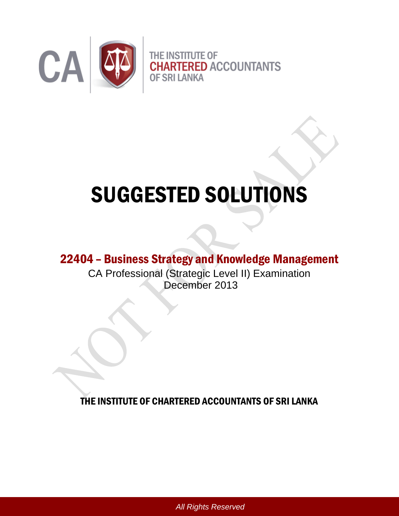

# SUGGESTED SOLUTIONS

# 22404 – Business Strategy and Knowledge Management

CA Professional (Strategic Level II) Examination December 2013

THE INSTITUTE OF CHARTERED ACCOUNTANTS OF SRI LANKA

*All Rights Reserved*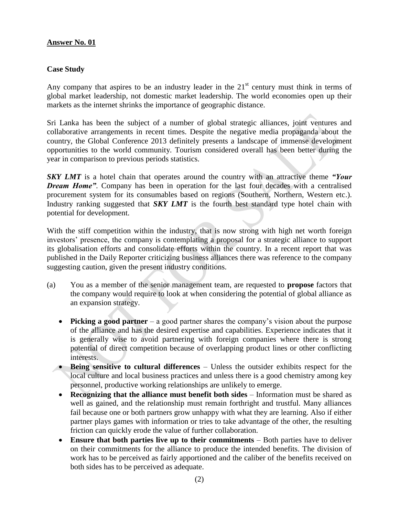#### **Case Study**

Any company that aspires to be an industry leader in the  $21<sup>st</sup>$  century must think in terms of global market leadership, not domestic market leadership. The world economies open up their markets as the internet shrinks the importance of geographic distance.

Sri Lanka has been the subject of a number of global strategic alliances, joint ventures and collaborative arrangements in recent times. Despite the negative media propaganda about the country, the Global Conference 2013 definitely presents a landscape of immense development opportunities to the world community. Tourism considered overall has been better during the year in comparison to previous periods statistics.

*SKY LMT* is a hotel chain that operates around the country with an attractive theme *"Your Dream Home"*. Company has been in operation for the last four decades with a centralised procurement system for its consumables based on regions (Southern, Northern, Western etc.). Industry ranking suggested that *SKY LMT* is the fourth best standard type hotel chain with potential for development.

With the stiff competition within the industry, that is now strong with high net worth foreign investors' presence, the company is contemplating a proposal for a strategic alliance to support its globalisation efforts and consolidate efforts within the country. In a recent report that was published in the Daily Reporter criticizing business alliances there was reference to the company suggesting caution, given the present industry conditions.

- (a) You as a member of the senior management team, are requested to **propose** factors that the company would require to look at when considering the potential of global alliance as an expansion strategy.
	- **Picking a good partner** a good partner shares the company's vision about the purpose of the alliance and has the desired expertise and capabilities. Experience indicates that it is generally wise to avoid partnering with foreign companies where there is strong potential of direct competition because of overlapping product lines or other conflicting interests.
	- **Being sensitive to cultural differences** Unless the outsider exhibits respect for the local culture and local business practices and unless there is a good chemistry among key personnel, productive working relationships are unlikely to emerge.
	- **Recognizing that the alliance must benefit both sides** Information must be shared as well as gained, and the relationship must remain forthright and trustful. Many alliances fail because one or both partners grow unhappy with what they are learning. Also if either partner plays games with information or tries to take advantage of the other, the resulting friction can quickly erode the value of further collaboration.
	- **Ensure that both parties live up to their commitments** Both parties have to deliver on their commitments for the alliance to produce the intended benefits. The division of work has to be perceived as fairly apportioned and the caliber of the benefits received on both sides has to be perceived as adequate.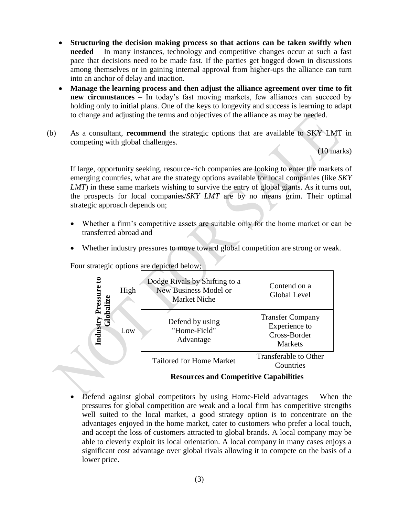- **Structuring the decision making process so that actions can be taken swiftly when needed** – In many instances, technology and competitive changes occur at such a fast pace that decisions need to be made fast. If the parties get bogged down in discussions among themselves or in gaining internal approval from higher-ups the alliance can turn into an anchor of delay and inaction.
- **Manage the learning process and then adjust the alliance agreement over time to fit new circumstances** – In today's fast moving markets, few alliances can succeed by holding only to initial plans. One of the keys to longevity and success is learning to adapt to change and adjusting the terms and objectives of the alliance as may be needed.
- (b) As a consultant, **recommend** the strategic options that are available to SKY LMT in competing with global challenges.

(10 marks)

If large, opportunity seeking, resource-rich companies are looking to enter the markets of emerging countries, what are the strategy options available for local companies (like *SKY LMT*) in these same markets wishing to survive the entry of global giants. As it turns out, the prospects for local companies/*SKY LMT* are by no means grim. Their optimal strategic approach depends on;

- Whether a firm's competitive assets are suitable only for the home market or can be transferred abroad and
- Whether industry pressures to move toward global competition are strong or weak.



Four strategic options are depicted below;

# **Resources and Competitive Capabilities**

 Defend against global competitors by using Home-Field advantages – When the pressures for global competition are weak and a local firm has competitive strengths well suited to the local market, a good strategy option is to concentrate on the advantages enjoyed in the home market, cater to customers who prefer a local touch, and accept the loss of customers attracted to global brands. A local company may be able to cleverly exploit its local orientation. A local company in many cases enjoys a significant cost advantage over global rivals allowing it to compete on the basis of a lower price.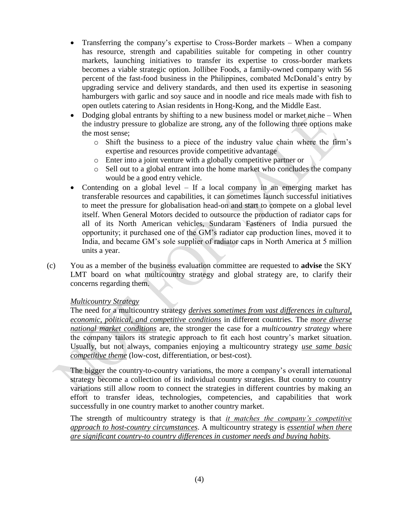- Transferring the company's expertise to Cross-Border markets When a company has resource, strength and capabilities suitable for competing in other country markets, launching initiatives to transfer its expertise to cross-border markets becomes a viable strategic option. Jollibee Foods, a family-owned company with 56 percent of the fast-food business in the Philippines, combated McDonald's entry by upgrading service and delivery standards, and then used its expertise in seasoning hamburgers with garlic and soy sauce and in noodle and rice meals made with fish to open outlets catering to Asian residents in Hong-Kong, and the Middle East.
- Dodging global entrants by shifting to a new business model or market niche When the industry pressure to globalize are strong, any of the following three options make the most sense;
	- o Shift the business to a piece of the industry value chain where the firm's expertise and resources provide competitive advantage
	- o Enter into a joint venture with a globally competitive partner or
	- o Sell out to a global entrant into the home market who concludes the company would be a good entry vehicle.
- Contending on a global level If a local company in an emerging market has transferable resources and capabilities, it can sometimes launch successful initiatives to meet the pressure for globalisation head-on and start to compete on a global level itself. When General Motors decided to outsource the production of radiator caps for all of its North American vehicles, Sundaram Fasteners of India pursued the opportunity; it purchased one of the GM's radiator cap production lines, moved it to India, and became GM's sole supplier of radiator caps in North America at 5 million units a year.
- (c) You as a member of the business evaluation committee are requested to **advise** the SKY LMT board on what multicountry strategy and global strategy are, to clarify their concerns regarding them.

# *Multicountry Strategy*

The need for a multicountry strategy *derives sometimes from vast differences in cultural, economic, political, and competitive conditions* in different countries. The *more diverse national market conditions* are, the stronger the case for a *multicountry strategy* where the company tailors its strategic approach to fit each host country's market situation. Usually, but not always, companies enjoying a multicountry strategy *use same basic competitive theme* (low-cost, differentiation, or best-cost).

The bigger the country-to-country variations, the more a company's overall international strategy become a collection of its individual country strategies. But country to country variations still allow room to connect the strategies in different countries by making an effort to transfer ideas, technologies, competencies, and capabilities that work successfully in one country market to another country market.

The strength of multicountry strategy is that *it matches the company's competitive approach to host-country circumstances*. A multicountry strategy is *essential when there are significant country-to country differences in customer needs and buying habits*.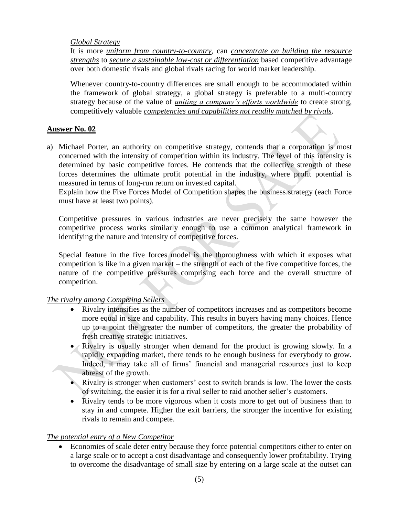#### *Global Strategy*

It is more *uniform from country-to-country*, can *concentrate on building the resource strengths* to *secure a sustainable low-cost or differentiation* based competitive advantage over both domestic rivals and global rivals racing for world market leadership.

Whenever country-to-country differences are small enough to be accommodated within the framework of global strategy, a global strategy is preferable to a multi-country strategy because of the value of *uniting a company's efforts worldwide* to create strong, competitively valuable *competencies and capabilities not readily matched by rivals*.

# **Answer No. 02**

a) Michael Porter, an authority on competitive strategy, contends that a corporation is most concerned with the intensity of competition within its industry. The level of this intensity is determined by basic competitive forces. He contends that the collective strength of these forces determines the ultimate profit potential in the industry, where profit potential is measured in terms of long-run return on invested capital.

Explain how the Five Forces Model of Competition shapes the business strategy (each Force must have at least two points).

Competitive pressures in various industries are never precisely the same however the competitive process works similarly enough to use a common analytical framework in identifying the nature and intensity of competitive forces.

Special feature in the five forces model is the thoroughness with which it exposes what competition is like in a given market – the strength of each of the five competitive forces, the nature of the competitive pressures comprising each force and the overall structure of competition.

# *The rivalry among Competing Sellers*

- Rivalry intensifies as the number of competitors increases and as competitors become more equal in size and capability. This results in buyers having many choices. Hence up to a point the greater the number of competitors, the greater the probability of fresh creative strategic initiatives.
- Rivalry is usually stronger when demand for the product is growing slowly. In a rapidly expanding market, there tends to be enough business for everybody to grow. Indeed, it may take all of firms' financial and managerial resources just to keep abreast of the growth.
- Rivalry is stronger when customers' cost to switch brands is low. The lower the costs of switching, the easier it is for a rival seller to raid another seller's customers.
- Rivalry tends to be more vigorous when it costs more to get out of business than to stay in and compete. Higher the exit barriers, the stronger the incentive for existing rivals to remain and compete.

# *The potential entry of a New Competitor*

 Economies of scale deter entry because they force potential competitors either to enter on a large scale or to accept a cost disadvantage and consequently lower profitability. Trying to overcome the disadvantage of small size by entering on a large scale at the outset can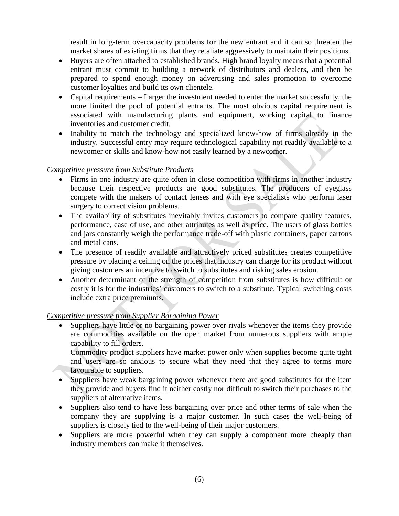result in long-term overcapacity problems for the new entrant and it can so threaten the market shares of existing firms that they retaliate aggressively to maintain their positions.

- Buyers are often attached to established brands. High brand loyalty means that a potential entrant must commit to building a network of distributors and dealers, and then be prepared to spend enough money on advertising and sales promotion to overcome customer loyalties and build its own clientele.
- Capital requirements Larger the investment needed to enter the market successfully, the more limited the pool of potential entrants. The most obvious capital requirement is associated with manufacturing plants and equipment, working capital to finance inventories and customer credit.
- Inability to match the technology and specialized know-how of firms already in the industry. Successful entry may require technological capability not readily available to a newcomer or skills and know-how not easily learned by a newcomer.

# *Competitive pressure from Substitute Products*

- Firms in one industry are quite often in close competition with firms in another industry because their respective products are good substitutes. The producers of eyeglass compete with the makers of contact lenses and with eye specialists who perform laser surgery to correct vision problems.
- The availability of substitutes inevitably invites customers to compare quality features, performance, ease of use, and other attributes as well as price. The users of glass bottles and jars constantly weigh the performance trade-off with plastic containers, paper cartons and metal cans.
- The presence of readily available and attractively priced substitutes creates competitive pressure by placing a ceiling on the prices that industry can charge for its product without giving customers an incentive to switch to substitutes and risking sales erosion.
- Another determinant of the strength of competition from substitutes is how difficult or costly it is for the industries' customers to switch to a substitute. Typical switching costs include extra price premiums.

# *Competitive pressure from Supplier Bargaining Power*

 Suppliers have little or no bargaining power over rivals whenever the items they provide are commodities available on the open market from numerous suppliers with ample capability to fill orders.

Commodity product suppliers have market power only when supplies become quite tight and users are so anxious to secure what they need that they agree to terms more favourable to suppliers.

- Suppliers have weak bargaining power whenever there are good substitutes for the item they provide and buyers find it neither costly nor difficult to switch their purchases to the suppliers of alternative items.
- Suppliers also tend to have less bargaining over price and other terms of sale when the company they are supplying is a major customer. In such cases the well-being of suppliers is closely tied to the well-being of their major customers.
- Suppliers are more powerful when they can supply a component more cheaply than industry members can make it themselves.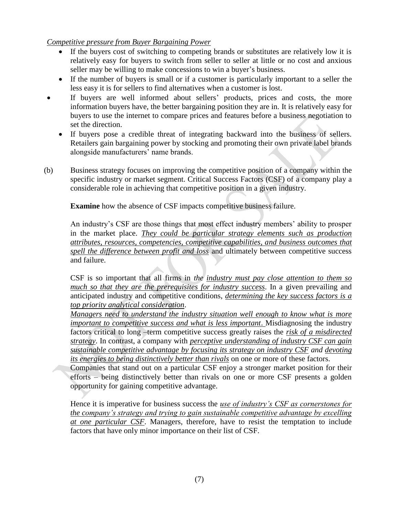#### *Competitive pressure from Buyer Bargaining Power*

- If the buyers cost of switching to competing brands or substitutes are relatively low it is relatively easy for buyers to switch from seller to seller at little or no cost and anxious seller may be willing to make concessions to win a buyer's business.
- If the number of buyers is small or if a customer is particularly important to a seller the less easy it is for sellers to find alternatives when a customer is lost.
- If buyers are well informed about sellers' products, prices and costs, the more information buyers have, the better bargaining position they are in. It is relatively easy for buyers to use the internet to compare prices and features before a business negotiation to set the direction.
	- If buyers pose a credible threat of integrating backward into the business of sellers. Retailers gain bargaining power by stocking and promoting their own private label brands alongside manufacturers' name brands.
- (b) Business strategy focuses on improving the competitive position of a company within the specific industry or market segment. Critical Success Factors (CSF) of a company play a considerable role in achieving that competitive position in a given industry.

**Examine** how the absence of CSF impacts competitive business failure.

An industry's CSF are those things that most effect industry members' ability to prosper in the market place. *They could be particular strategy elements such as production attributes, resources, competencies, competitive capabilities, and business outcomes that spell the difference between profit and loss* and ultimately between competitive success and failure.

CSF is so important that all firms in *the industry must pay close attention to them so much so that they are the prerequisites for industry success*. In a given prevailing and anticipated industry and competitive conditions, *determining the key success factors is a top priority analytical consideration*.

*Managers need to understand the industry situation well enough to know what is more important to competitive success and what is less important*. Misdiagnosing the industry factors critical to long –term competitive success greatly raises the *risk of a misdirected strategy*. In contrast, a company with *perceptive understanding of industry CSF can gain sustainable competitive advantage by focusing its strategy on industry CSF and devoting its energies to being distinctively better than rivals* on one or more of these factors.

Companies that stand out on a particular CSF enjoy a stronger market position for their efforts – being distinctively better than rivals on one or more CSF presents a golden opportunity for gaining competitive advantage.

Hence it is imperative for business success the *use of industry's CSF as cornerstones for the company's strategy and trying to gain sustainable competitive advantage by excelling at one particular CSF*. Managers, therefore, have to resist the temptation to include factors that have only minor importance on their list of CSF.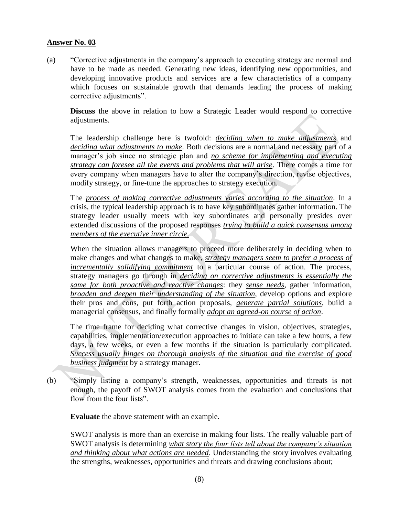(a) "Corrective adjustments in the company's approach to executing strategy are normal and have to be made as needed. Generating new ideas, identifying new opportunities, and developing innovative products and services are a few characteristics of a company which focuses on sustainable growth that demands leading the process of making corrective adjustments".

**Discuss** the above in relation to how a Strategic Leader would respond to corrective adjustments.

The leadership challenge here is twofold: *deciding when to make adjustments* and *deciding what adjustments to make*. Both decisions are a normal and necessary part of a manager's job since no strategic plan and *no scheme for implementing and executing strategy can foresee all the events and problems that will arise*. There comes a time for every company when managers have to alter the company's direction, revise objectives, modify strategy, or fine-tune the approaches to strategy execution.

The *process of making corrective adjustments varies according to the situation*. In a crisis, the typical leadership approach is to have key subordinates gather information. The strategy leader usually meets with key subordinates and personally presides over extended discussions of the proposed responses *trying to build a quick consensus among members of the executive inner circle.*

When the situation allows managers to proceed more deliberately in deciding when to make changes and what changes to make, *strategy managers seem to prefer a process of incrementally solidifying commitment* to a particular course of action. The process, strategy managers go through in *deciding on corrective adjustments is essentially the same for both proactive and reactive changes*: they *sense needs*, gather information, *broaden and deepen their understanding of the situation*, develop options and explore their pros and cons, put forth action proposals, *generate partial solutions*, build a managerial consensus, and finally formally *adopt an agreed-on course of action*.

The time frame for deciding what corrective changes in vision, objectives, strategies, capabilities, implementation/execution approaches to initiate can take a few hours, a few days, a few weeks, or even a few months if the situation is particularly complicated. *Success usually hinges on thorough analysis of the situation and the exercise of good business judgment* by a strategy manager.

(b) "Simply listing a company's strength, weaknesses, opportunities and threats is not enough, the payoff of SWOT analysis comes from the evaluation and conclusions that flow from the four lists".

**Evaluate** the above statement with an example.

SWOT analysis is more than an exercise in making four lists. The really valuable part of SWOT analysis is determining *what story the four lists tell about the company's situation and thinking about what actions are needed*. Understanding the story involves evaluating the strengths, weaknesses, opportunities and threats and drawing conclusions about;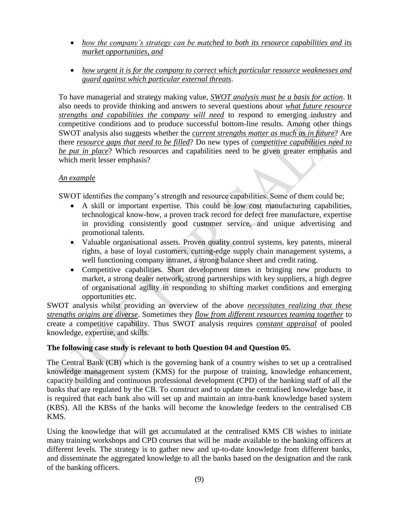- *how the company's strategy can be matched to both its resource capabilities and its market opportunities, and*
- *how urgent it is for the company to correct which particular resource weaknesses and guard against which particular external threats*.

To have managerial and strategy making value, *SWOT analysis must be a basis for action*. It also needs to provide thinking and answers to several questions about *what future resource strengths and capabilities the company will need* to respond to emerging industry and competitive conditions and to produce successful bottom-line results. Among other things SWOT analysis also suggests whether the *current strengths matter as much as in future*? Are there *resource gaps that need to be filled*? Do new types of *competitive capabilities need to be put in place*? Which resources and capabilities need to be given greater emphasis and which merit lesser emphasis?

# *An example*

SWOT identifies the company's strength and resource capabilities. Some of them could be;

- A skill or important expertise. This could be low cost manufacturing capabilities, technological know-how, a proven track record for defect free manufacture, expertise in providing consistently good customer service, and unique advertising and promotional talents.
- Valuable organisational assets. Proven quality control systems, key patents, mineral rights, a base of loyal customers, cutting-edge supply chain management systems, a well functioning company intranet, a strong balance sheet and credit rating.
- Competitive capabilities. Short development times in bringing new products to market, a strong dealer network, strong partnerships with key suppliers, a high degree of organisational agility in responding to shifting market conditions and emerging opportunities etc.

SWOT analysis whilst providing an overview of the above *necessitates realizing that these strengths origins are diverse*. Sometimes they *flow from different resources teaming together* to create a competitive capability. Thus SWOT analysis requires *constant appraisal* of pooled knowledge, expertise, and skills.

# **The following case study is relevant to both Question 04 and Question 05.**

The Central Bank (CB) which is the governing bank of a country wishes to set up a centralised knowledge management system (KMS) for the purpose of training, knowledge enhancement, capacity building and continuous professional development (CPD) of the banking staff of all the banks that are regulated by the CB. To construct and to update the centralised knowledge base, it is required that each bank also will set up and maintain an intra-bank knowledge based system (KBS). All the KBSs of the banks will become the knowledge feeders to the centralised CB KMS.

Using the knowledge that will get accumulated at the centralised KMS CB wishes to initiate many training workshops and CPD courses that will be made available to the banking officers at different levels. The strategy is to gather new and up-to-date knowledge from different banks, and disseminate the aggregated knowledge to all the banks based on the designation and the rank of the banking officers.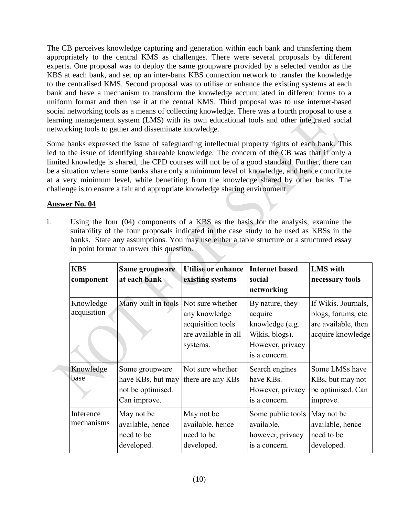The CB perceives knowledge capturing and generation within each bank and transferring them appropriately to the central KMS as challenges. There were several proposals by different experts. One proposal was to deploy the same groupware provided by a selected vendor as the KBS at each bank, and set up an inter-bank KBS connection network to transfer the knowledge to the centralised KMS. Second proposal was to utilise or enhance the existing systems at each bank and have a mechanism to transform the knowledge accumulated in different forms to a uniform format and then use it at the central KMS. Third proposal was to use internet-based social networking tools as a means of collecting knowledge. There was a fourth proposal to use a learning management system (LMS) with its own educational tools and other integrated social networking tools to gather and disseminate knowledge.

Some banks expressed the issue of safeguarding intellectual property rights of each bank. This led to the issue of identifying shareable knowledge. The concern of the CB was that if only a limited knowledge is shared, the CPD courses will not be of a good standard. Further, there can be a situation where some banks share only a minimum level of knowledge, and hence contribute at a very minimum level, while benefiting from the knowledge shared by other banks. The challenge is to ensure a fair and appropriate knowledge sharing environment.

# **Answer No. 04**

i. Using the four (04) components of a KBS as the basis for the analysis, examine the suitability of the four proposals indicated in the case study to be used as KBSs in the banks. State any assumptions. You may use either a table structure or a structured essay in point format to answer this question.

| <b>KBS</b><br>component  | Same groupware<br>at each bank                                           | <b>Utilise</b> or enhance<br>existing systems                                              | <b>Internet based</b><br>social<br>networking                                                        | <b>LMS</b> with<br>necessary tools                                                     |
|--------------------------|--------------------------------------------------------------------------|--------------------------------------------------------------------------------------------|------------------------------------------------------------------------------------------------------|----------------------------------------------------------------------------------------|
| Knowledge<br>acquisition | Many built in tools                                                      | Not sure whether<br>any knowledge<br>acquisition tools<br>are available in all<br>systems. | By nature, they<br>acquire<br>knowledge (e.g.<br>Wikis, blogs).<br>However, privacy<br>is a concern. | If Wikis. Journals,<br>blogs, forums, etc.<br>are available, then<br>acquire knowledge |
| Knowledge<br>base        | Some groupware<br>have KBs, but may<br>not be optimised.<br>Can improve. | Not sure whether<br>there are any KBs                                                      | Search engines<br>have KBs.<br>However, privacy<br>is a concern.                                     | Some LMSs have<br>KBs, but may not<br>be optimised. Can<br>improve.                    |
| Inference<br>mechanisms  | May not be<br>available, hence<br>need to be<br>developed.               | May not be<br>available, hence<br>need to be<br>developed.                                 | Some public tools<br>available,<br>however, privacy<br>is a concern.                                 | May not be<br>available, hence<br>need to be<br>developed.                             |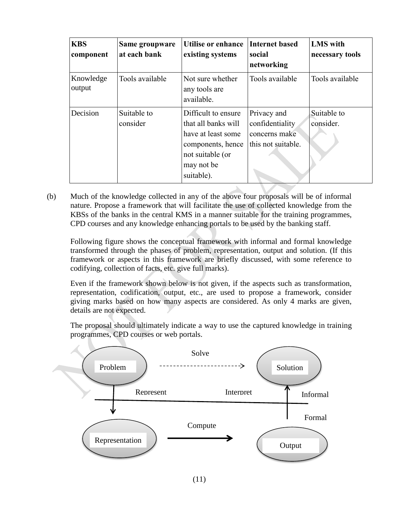| <b>KBS</b><br>component | Same groupware<br>at each bank | Utilise or enhance<br>existing systems                                                                                                | <b>Internet based</b><br>social<br>networking                         | <b>LMS</b> with<br>necessary tools |
|-------------------------|--------------------------------|---------------------------------------------------------------------------------------------------------------------------------------|-----------------------------------------------------------------------|------------------------------------|
| Knowledge<br>output     | Tools available                | Not sure whether<br>any tools are<br>available.                                                                                       | Tools available                                                       | Tools available                    |
| Decision                | Suitable to<br>consider        | Difficult to ensure<br>that all banks will<br>have at least some<br>components, hence<br>not suitable (or<br>may not be<br>suitable). | Privacy and<br>confidentiality<br>concerns make<br>this not suitable. | Suitable to<br>consider.           |

(b) Much of the knowledge collected in any of the above four proposals will be of informal nature. Propose a framework that will facilitate the use of collected knowledge from the KBSs of the banks in the central KMS in a manner suitable for the training programmes, CPD courses and any knowledge enhancing portals to be used by the banking staff.

Following figure shows the conceptual framework with informal and formal knowledge transformed through the phases of problem, representation, output and solution. (If this framework or aspects in this framework are briefly discussed, with some reference to codifying, collection of facts, etc. give full marks).

Even if the framework shown below is not given, if the aspects such as transformation, representation, codification, output, etc., are used to propose a framework, consider giving marks based on how many aspects are considered. As only 4 marks are given, details are not expected.

The proposal should ultimately indicate a way to use the captured knowledge in training programmes, CPD courses or web portals.

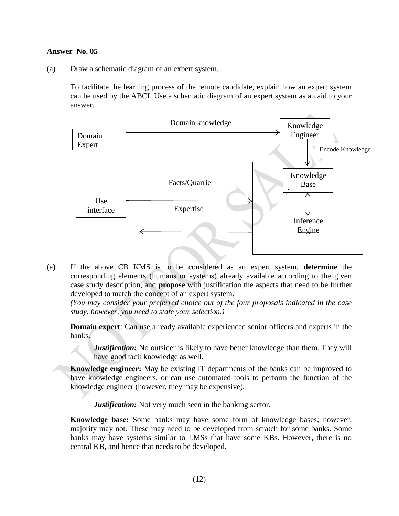(a) Draw a schematic diagram of an expert system.

To facilitate the learning process of the remote candidate, explain how an expert system can be used by the ABCI. Use a schematic diagram of an expert system as an aid to your answer.



(a) If the above CB KMS is to be considered as an expert system, **determine** the corresponding elements (humans or systems) already available according to the given case study description, and **propose** with justification the aspects that need to be further developed to match the concept of an expert system.

*(You may consider your preferred choice out of the four proposals indicated in the case study, however, you need to state your selection.)*

**Domain expert**: Can use already available experienced senior officers and experts in the banks.

*Justification:* No outsider is likely to have better knowledge than them. They will have good tacit knowledge as well.

**Knowledge engineer:** May be existing IT departments of the banks can be improved to have knowledge engineers, or can use automated tools to perform the function of the knowledge engineer (however, they may be expensive).

*Justification:* Not very much seen in the banking sector.

**Knowledge base:** Some banks may have some form of knowledge bases; however, majority may not. These may need to be developed from scratch for some banks. Some banks may have systems similar to LMSs that have some KBs. However, there is no central KB, and hence that needs to be developed.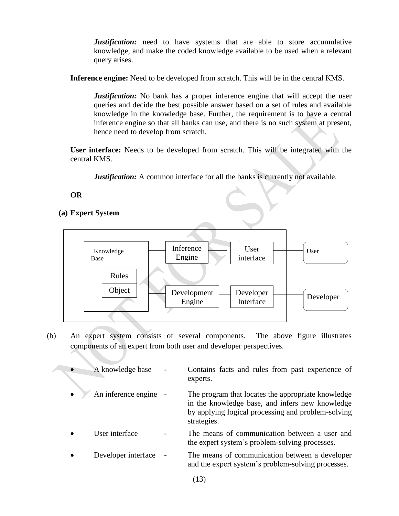*Justification:* need to have systems that are able to store accumulative knowledge, and make the coded knowledge available to be used when a relevant query arises.

**Inference engine:** Need to be developed from scratch. This will be in the central KMS.

*Justification:* No bank has a proper inference engine that will accept the user queries and decide the best possible answer based on a set of rules and available knowledge in the knowledge base. Further, the requirement is to have a central inference engine so that all banks can use, and there is no such system at present, hence need to develop from scratch.

**User interface:** Needs to be developed from scratch. This will be integrated with the central KMS.

*Justification:* A common interface for all the banks is currently not available.

# **OR**

# **(a) Expert System**



(b) An expert system consists of several components. The above figure illustrates components of an expert from both user and developer perspectives.

| A knowledge base      | Contains facts and rules from past experience of<br>experts.                                                                                                               |
|-----------------------|----------------------------------------------------------------------------------------------------------------------------------------------------------------------------|
| An inference engine - | The program that locates the appropriate knowledge<br>in the knowledge base, and infers new knowledge<br>by applying logical processing and problem-solving<br>strategies. |
| User interface        | The means of communication between a user and<br>the expert system's problem-solving processes.                                                                            |
| Developer interface   | The means of communication between a developer<br>and the expert system's problem-solving processes.                                                                       |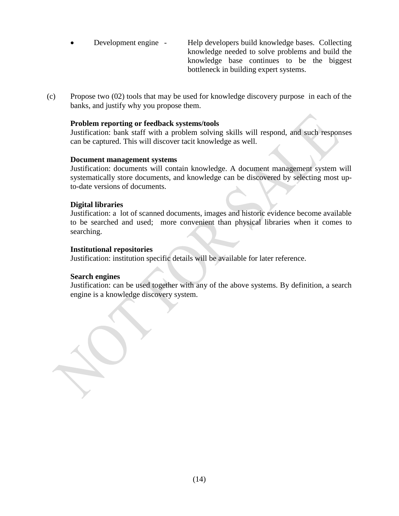Development engine - Help developers build knowledge bases. Collecting knowledge needed to solve problems and build the knowledge base continues to be the biggest bottleneck in building expert systems.

(c) Propose two (02) tools that may be used for knowledge discovery purpose in each of the banks, and justify why you propose them.

#### **Problem reporting or feedback systems/tools**

Justification: bank staff with a problem solving skills will respond, and such responses can be captured. This will discover tacit knowledge as well.

#### **Document management systems**

Justification: documents will contain knowledge. A document management system will systematically store documents, and knowledge can be discovered by selecting most upto-date versions of documents.

#### **Digital libraries**

Justification: a lot of scanned documents, images and historic evidence become available to be searched and used; more convenient than physical libraries when it comes to searching.

#### **Institutional repositories**

Justification: institution specific details will be available for later reference.

#### **Search engines**

Justification: can be used together with any of the above systems. By definition, a search engine is a knowledge discovery system.

(14)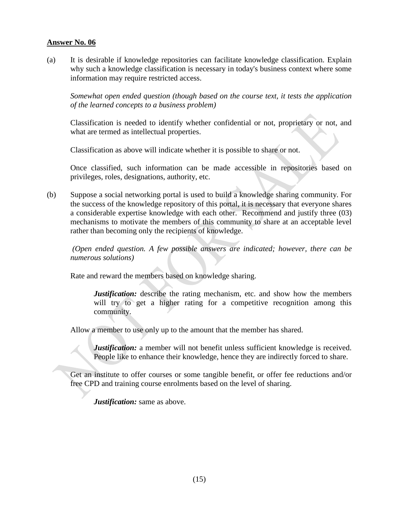(a) It is desirable if knowledge repositories can facilitate knowledge classification. Explain why such a knowledge classification is necessary in today's business context where some information may require restricted access.

*Somewhat open ended question (though based on the course text, it tests the application of the learned concepts to a business problem)*

Classification is needed to identify whether confidential or not, proprietary or not, and what are termed as intellectual properties.

Classification as above will indicate whether it is possible to share or not.

Once classified, such information can be made accessible in repositories based on privileges, roles, designations, authority, etc.

(b) Suppose a social networking portal is used to build a knowledge sharing community. For the success of the knowledge repository of this portal, it is necessary that everyone shares a considerable expertise knowledge with each other. Recommend and justify three (03) mechanisms to motivate the members of this community to share at an acceptable level rather than becoming only the recipients of knowledge.

*(Open ended question. A few possible answers are indicated; however, there can be numerous solutions)*

Rate and reward the members based on knowledge sharing.

*Justification:* describe the rating mechanism, etc. and show how the members will try to get a higher rating for a competitive recognition among this community.

Allow a member to use only up to the amount that the member has shared.

*Justification:* a member will not benefit unless sufficient knowledge is received. People like to enhance their knowledge, hence they are indirectly forced to share.

Get an institute to offer courses or some tangible benefit, or offer fee reductions and/or free CPD and training course enrolments based on the level of sharing.

*Justification:* same as above.